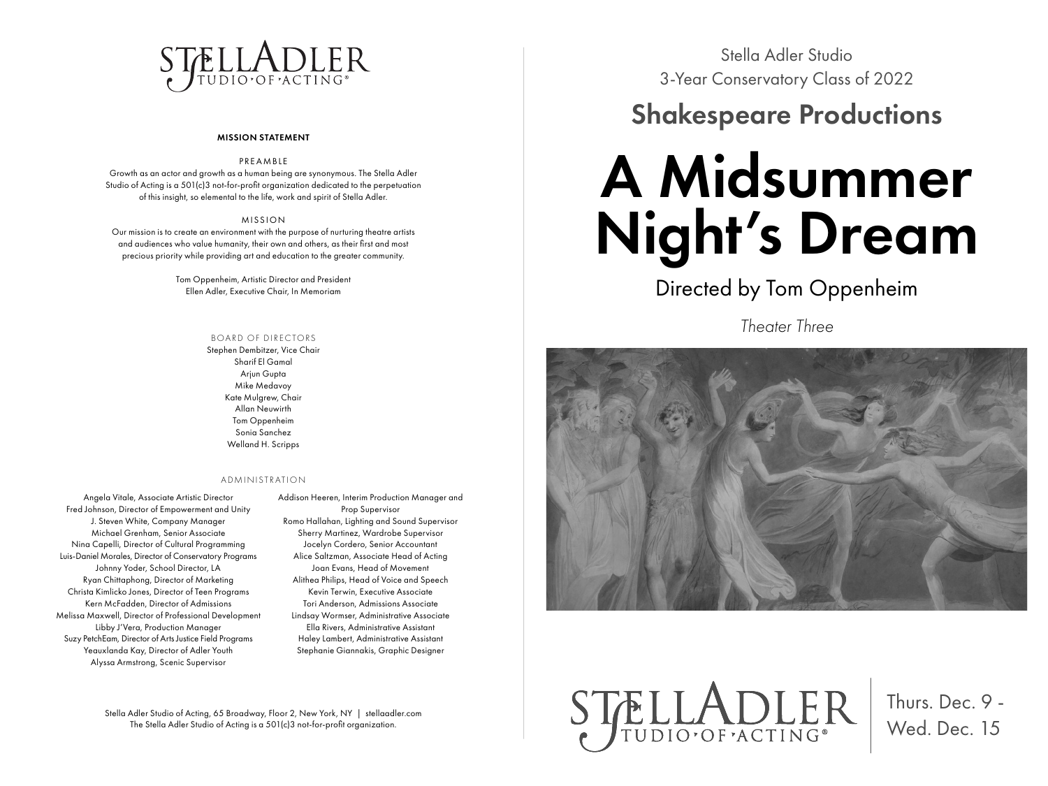## STELLADLER

#### MISSION STATEMENT

#### PREAMBLE

Growth as an actor and growth as a human being are synonymous. The Stella Adler Studio of Acting is a 501(c)3 not-for-profit organization dedicated to the perpetuation of this insight, so elemental to the life, work and spirit of Stella Adler.

#### MISSION

Our mission is to create an environment with the purpose of nurturing theatre artists and audiences who value humanity, their own and others, as their first and most precious priority while providing art and education to the greater community.

> Tom Oppenheim, Artistic Director and President Ellen Adler, Executive Chair, In Memoriam

#### BOARD OF DIRECTORS

Stephen Dembitzer, Vice Chair Sharif El Gamal Arjun Gupta Mike Medavoy Kate Mulgrew, Chair Allan Neuwirth Tom Oppenheim Sonia Sanchez Welland H. Scripps

#### ADMINISTRATION

Angela Vitale, Associate Artistic Director Fred Johnson, Director of Empowerment and Unity J. Steven White, Company Manager Michael Grenham, Senior Associate Nina Capelli, Director of Cultural Programming Luis-Daniel Morales, Director of Conservatory Programs Johnny Yoder, School Director, LA Ryan Chittaphong, Director of Marketing Christa Kimlicko Jones, Director of Teen Programs Kern McFadden, Director of Admissions Melissa Maxwell, Director of Professional Development Libby J'Vera, Production Manager Suzy PetchEam, Director of Arts Justice Field Programs Yeauxlanda Kay, Director of Adler Youth Alyssa Armstrong, Scenic Supervisor

Addison Heeren, Interim Production Manager and Prop Supervisor Romo Hallahan, Lighting and Sound Supervisor Sherry Martinez, Wardrobe Supervisor Jocelyn Cordero, Senior Accountant Alice Saltzman, Associate Head of Acting Joan Evans, Head of Movement Alithea Philips, Head of Voice and Speech Kevin Terwin, Executive Associate Tori Anderson, Admissions Associate Lindsay Wormser, Administrative Associate Ella Rivers, Administrative Assistant Haley Lambert, Administrative Assistant Stephanie Giannakis, Graphic Designer

Stella Adler Studio of Acting, 65 Broadway, Floor 2, New York, NY | stellaadler.com The Stella Adler Studio of Acting is a 501(c)3 not-for-profit organization.

Stella Adler Studio 3-Year Conservatory Class of 2022

### Shakespeare Productions

# A Midsummer Night's Dream

Directed by Tom Oppenheim

*Theater Three*



STELLADLER

Thurs. Dec. 9 - Wed. Dec. 15